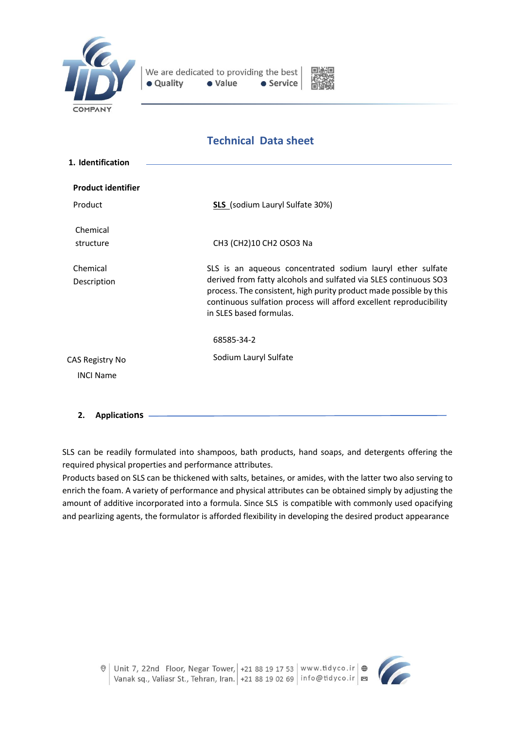



# **Technical Data sheet**

| 1. Identification                   |                                                                                                                                                                                                                                                                                                       |
|-------------------------------------|-------------------------------------------------------------------------------------------------------------------------------------------------------------------------------------------------------------------------------------------------------------------------------------------------------|
| <b>Product identifier</b>           |                                                                                                                                                                                                                                                                                                       |
| Product                             | <b>SLS</b> (sodium Lauryl Sulfate 30%)                                                                                                                                                                                                                                                                |
| Chemical<br>structure               | CH3 (CH2)10 CH2 OSO3 Na                                                                                                                                                                                                                                                                               |
| Chemical<br>Description             | SLS is an aqueous concentrated sodium lauryl ether sulfate<br>derived from fatty alcohols and sulfated via SLES continuous SO3<br>process. The consistent, high purity product made possible by this<br>continuous sulfation process will afford excellent reproducibility<br>in SLES based formulas. |
|                                     | 68585-34-2                                                                                                                                                                                                                                                                                            |
| CAS Registry No<br><b>INCI Name</b> | Sodium Lauryl Sulfate                                                                                                                                                                                                                                                                                 |

**2. Applications**

SLS can be readily formulated into shampoos, bath products, hand soaps, and detergents offering the required physical properties and performance attributes.

Products based on SLS can be thickened with salts, betaines, or amides, with the latter two also serving to enrich the foam. A variety of performance and physical attributes can be obtained simply by adjusting the amount of additive incorporated into a formula. Since SLS is compatible with commonly used opacifying and pearlizing agents, the formulator is afforded flexibility in developing the desired product appearance

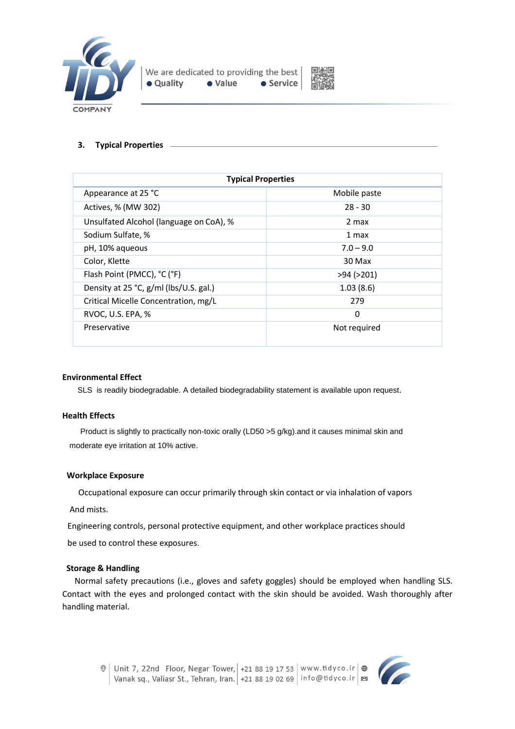



# **3. Typical Properties**

| <b>Typical Properties</b>               |                  |  |
|-----------------------------------------|------------------|--|
| Appearance at 25 °C                     | Mobile paste     |  |
| Actives, % (MW 302)                     | $28 - 30$        |  |
| Unsulfated Alcohol (language on CoA), % | 2 max            |  |
| Sodium Sulfate, %                       | 1 max            |  |
| pH, 10% aqueous                         | $7.0 - 9.0$      |  |
| Color, Klette                           | 30 Max           |  |
| Flash Point (PMCC), °C (°F)             | $>94$ ( $>201$ ) |  |
| Density at 25 °C, g/ml (lbs/U.S. gal.)  | 1.03(8.6)        |  |
| Critical Micelle Concentration, mg/L    | 279              |  |
| RVOC, U.S. EPA, %                       | 0                |  |
| Preservative                            | Not required     |  |

# **Environmental Effect**

SLS is readily biodegradable. A detailed biodegradability statement is available upon request.

# **Health Effects**

 Product is slightly to practically non-toxic orally (LD50 >5 g/kg).and it causes minimal skin and moderate eye irritation at 10% active.

# **Workplace Exposure**

Occupational exposure can occur primarily through skin contact or via inhalation of vapors

And mists.

Engineering controls, personal protective equipment, and other workplace practices should

be used to control these exposures.

# **Storage & Handling**

 Normal safety precautions (i.e., gloves and safety goggles) should be employed when handling SLS. Contact with the eyes and prolonged contact with the skin should be avoided. Wash thoroughly after handling material.